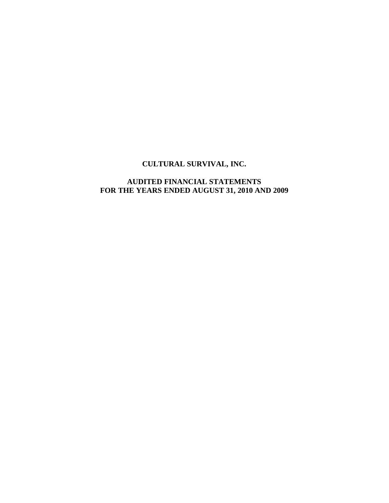## **CULTURAL SURVIVAL, INC.**

### **AUDITED FINANCIAL STATEMENTS FOR THE YEARS ENDED AUGUST 31, 2010 AND 2009**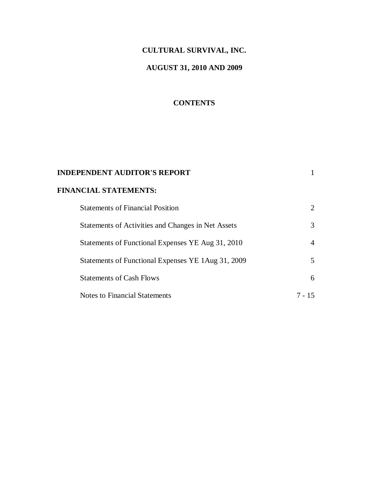# **CULTURAL SURVIVAL, INC.**

# **AUGUST 31, 2010 AND 2009**

## **CONTENTS**

| <b>INDEPENDENT AUDITOR'S REPORT</b>                |        |
|----------------------------------------------------|--------|
| <b>FINANCIAL STATEMENTS:</b>                       |        |
| <b>Statements of Financial Position</b>            |        |
| Statements of Activities and Changes in Net Assets | 3      |
| Statements of Functional Expenses YE Aug 31, 2010  | 4      |
| Statements of Functional Expenses YE 1Aug 31, 2009 | 5      |
| <b>Statements of Cash Flows</b>                    | 6      |
| Notes to Financial Statements                      | 7 - 15 |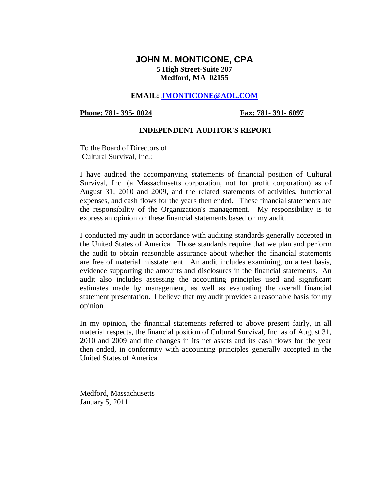## **JOHN M. MONTICONE, CPA 5 High Street-Suite 207 Medford, MA 02155**

### **EMAIL: JMONTICONE@AOL.COM**

Phone: 781- 395- 0024 **Fax: 781- 391- 6097** 

### **INDEPENDENT AUDITOR'S REPORT**

To the Board of Directors of Cultural Survival, Inc.:

I have audited the accompanying statements of financial position of Cultural Survival, Inc. (a Massachusetts corporation, not for profit corporation) as of August 31, 2010 and 2009, and the related statements of activities, functional expenses, and cash flows for the years then ended. These financial statements are the responsibility of the Organization's management. My responsibility is to express an opinion on these financial statements based on my audit.

I conducted my audit in accordance with auditing standards generally accepted in the United States of America. Those standards require that we plan and perform the audit to obtain reasonable assurance about whether the financial statements are free of material misstatement. An audit includes examining, on a test basis, evidence supporting the amounts and disclosures in the financial statements. An audit also includes assessing the accounting principles used and significant estimates made by management, as well as evaluating the overall financial statement presentation. I believe that my audit provides a reasonable basis for my opinion.

In my opinion, the financial statements referred to above present fairly, in all material respects, the financial position of Cultural Survival, Inc. as of August 31, 2010 and 2009 and the changes in its net assets and its cash flows for the year then ended, in conformity with accounting principles generally accepted in the United States of America.

Medford, Massachusetts January 5, 2011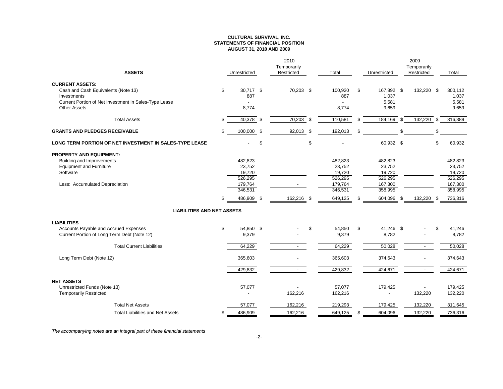#### **CULTURAL SURVIVAL, INC. STATEMENTS OF FINANCIAL POSITIONAUGUST 31, 2010 AND 2009**

|                                                         |    |                | 2010           |     |         |                  | 2009                     |     |         |
|---------------------------------------------------------|----|----------------|----------------|-----|---------|------------------|--------------------------|-----|---------|
|                                                         |    |                | Temporarily    |     |         |                  | Temporarily              |     |         |
| <b>ASSETS</b>                                           |    | Unrestricted   | Restricted     |     | Total   | Unrestricted     | Restricted               |     | Total   |
| <b>CURRENT ASSETS:</b>                                  |    |                |                |     |         |                  |                          |     |         |
| Cash and Cash Equivalents (Note 13)                     | \$ | 30,717 \$      | 70,203 \$      |     | 100,920 | \$<br>167,892 \$ | 132,220 \$               |     | 300,112 |
| Investments                                             |    | 887            |                |     | 887     | 1,037            |                          |     | 1,037   |
| Current Portion of Net Investment in Sales-Type Lease   |    |                |                |     |         | 5,581            |                          |     | 5,581   |
| <b>Other Assets</b>                                     |    | 8,774          |                |     | 8,774   | 9,659            |                          |     | 9,659   |
| <b>Total Assets</b>                                     | S  | $40,378$ \$    | 70,203         | \$  | 110,581 | \$<br>184,169    | \$<br>132,220            | -\$ | 316,389 |
| <b>GRANTS AND PLEDGES RECEIVABLE</b>                    | \$ | 100,000 \$     | 92,013 \$      |     | 192,013 | \$               | \$                       | \$  |         |
| LONG TERM PORTION OF NET INVESTMENT IN SALES-TYPE LEASE |    | $\blacksquare$ | \$             | \$  |         | 60,932 \$        |                          | \$  | 60,932  |
| <b>PROPERTY AND EQUIPMENT:</b>                          |    |                |                |     |         |                  |                          |     |         |
| <b>Building and Improvements</b>                        |    | 482,823        |                |     | 482,823 | 482,823          |                          |     | 482,823 |
| <b>Equipment and Furniture</b>                          |    | 23,752         |                |     | 23,752  | 23,752           |                          |     | 23,752  |
| Software                                                |    | 19,720         |                |     | 19,720  | 19,720           |                          |     | 19,720  |
|                                                         |    | 526,295        |                |     | 526,295 | 526,295          |                          |     | 526,295 |
| Less: Accumulated Depreciation                          |    | 179,764        |                |     | 179,764 | 167,300          |                          |     | 167,300 |
|                                                         |    | 346,531        |                |     | 346,531 | 358,995          |                          |     | 358,995 |
|                                                         | \$ | 486,909 \$     | 162,216        | -\$ | 649,125 | \$<br>604,096    | \$<br>132,220            | \$  | 736,316 |
| <b>LIABILITIES AND NET ASSETS</b>                       |    |                |                |     |         |                  |                          |     |         |
| <b>LIABILITIES</b>                                      |    |                |                |     |         |                  |                          |     |         |
| Accounts Payable and Accrued Expenses                   | \$ | 54,850 \$      |                | \$  | 54,850  | \$<br>41,246 \$  |                          | \$  | 41,246  |
| Current Portion of Long Term Debt (Note 12)             |    | 9,379          |                |     | 9,379   | 8,782            |                          |     | 8,782   |
| <b>Total Current Liabilities</b>                        |    | 64,229         | $\overline{a}$ |     | 64,229  | 50,028           | $\sim$                   |     | 50,028  |
| Long Term Debt (Note 12)                                |    | 365,603        |                |     | 365,603 | 374,643          |                          |     | 374,643 |
|                                                         |    | 429,832        | $\sim$         |     | 429,832 | 424,671          | $\overline{\phantom{a}}$ |     | 424,671 |
| <b>NET ASSETS</b>                                       |    |                |                |     |         |                  |                          |     |         |
| Unrestricted Funds (Note 13)                            |    | 57,077         |                |     | 57,077  | 179,425          |                          |     | 179,425 |
| <b>Temporarily Restricted</b>                           |    |                | 162,216        |     | 162,216 |                  | 132,220                  |     | 132,220 |
| <b>Total Net Assets</b>                                 |    | 57,077         | 162,216        |     | 219,293 | 179,425          | 132,220                  |     | 311,645 |
| <b>Total Liabilities and Net Assets</b>                 | \$ | 486,909        | 162,216        |     | 649,125 | \$<br>604,096    | 132,220                  |     | 736,316 |

The accompanying notes are an integral part of these financial statements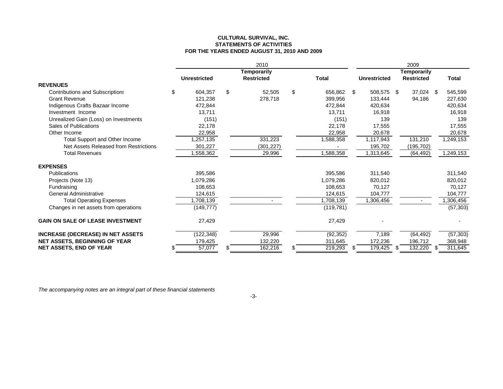#### **CULTURAL SURVIVAL, INC. STATEMENTS OF ACTIVITIESFOR THE YEARS ENDED AUGUST 31, 2010 AND 2009**

|                                          | 2010                |    |                   |    |              | 2009        |                     |     |                   |     |              |
|------------------------------------------|---------------------|----|-------------------|----|--------------|-------------|---------------------|-----|-------------------|-----|--------------|
|                                          | <b>Temporarily</b>  |    |                   |    |              | Temporarily |                     |     |                   |     |              |
|                                          | <b>Unrestricted</b> |    | <b>Restricted</b> |    | <b>Total</b> |             | <b>Unrestricted</b> |     | <b>Restricted</b> |     | <b>Total</b> |
| <b>REVENUES</b>                          |                     |    |                   |    |              |             |                     |     |                   |     |              |
| <b>Contributions and Subscriptions</b>   | \$<br>604.357       | \$ | 52,505            | \$ | 656,862      | \$          | 508,575             | -\$ | 37.024            | -S  | 545,599      |
| <b>Grant Revenue</b>                     | 121,238             |    | 278,718           |    | 399,956      |             | 133,444             |     | 94,186            |     | 227,630      |
| Indigenous Crafts Bazaar Income          | 472,844             |    |                   |    | 472,844      |             | 420,634             |     |                   |     | 420,634      |
| Investment Income                        | 13,711              |    |                   |    | 13,711       |             | 16,918              |     |                   |     | 16,918       |
| Unrealized Gain (Loss) on Investments    | (151)               |    |                   |    | (151)        |             | 139                 |     |                   |     | 139          |
| Sales of Publications                    | 22,178              |    |                   |    | 22.178       |             | 17,555              |     |                   |     | 17,555       |
| Other Income                             | 22,958              |    |                   |    | 22,958       |             | 20,678              |     |                   |     | 20,678       |
| Total Support and Other Income           | ,257,135            |    | 331,223           |    | 1,588,358    |             | 1,117,943           |     | 131,210           |     | 1,249,153    |
| Net Assets Released from Restrictions    | 301,227             |    | (301, 227)        |    |              |             | 195,702             |     | (195,702)         |     |              |
| <b>Total Revenues</b>                    | ,558,362            |    | 29,996            |    | 1,588,358    |             | 1,313,645           |     | (64, 492)         |     | 1,249,153    |
| <b>EXPENSES</b>                          |                     |    |                   |    |              |             |                     |     |                   |     |              |
| Publications                             | 395,586             |    |                   |    | 395,586      |             | 311,540             |     |                   |     | 311,540      |
| Projects (Note 13)                       | 1,079,286           |    |                   |    | 1.079.286    |             | 820,012             |     |                   |     | 820,012      |
| Fundraising                              | 108,653             |    |                   |    | 108,653      |             | 70,127              |     |                   |     | 70,127       |
| General Administrative                   | 124,615             |    |                   |    | 124,615      |             | 104,777             |     |                   |     | 104,777      |
| <b>Total Operating Expenses</b>          | ,708,139            |    |                   |    | 1,708,139    |             | 1,306,456           |     |                   |     | ,306,456     |
| Changes in net assets from operations    | (149, 777)          |    |                   |    | (119, 781)   |             |                     |     |                   |     | (57, 303)    |
| <b>GAIN ON SALE OF LEASE INVESTMENT</b>  | 27,429              |    |                   |    | 27,429       |             |                     |     |                   |     |              |
| <b>INCREASE (DECREASE) IN NET ASSETS</b> | (122, 348)          |    | 29,996            |    | (92, 352)    |             | 7,189               |     | (64, 492)         |     | (57, 303)    |
| <b>NET ASSETS, BEGINNING OF YEAR</b>     | 179,425             |    | 132,220           |    | 311,645      |             | 172,236             |     | 196,712           |     | 368,948      |
| <b>NET ASSETS, END OF YEAR</b>           | 57,077              |    | 162,216           | S  | 219,293      |             | 179,425             |     | 132,220           | \$. | 311,645      |

The accompanying notes are an integral part of these financial statements

-3-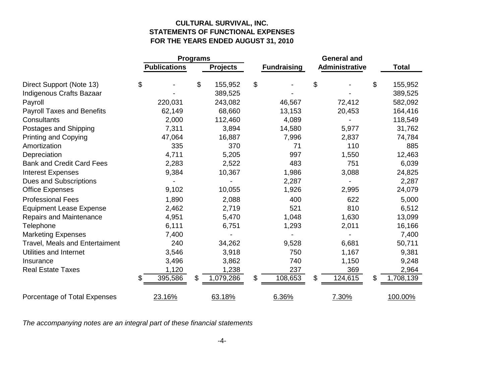### **CULTURAL SURVIVAL, INC. STATEMENTS OF FUNCTIONAL EXPENSESFOR THE YEARS ENDED AUGUST 31, 2010**

|                                       | <b>Programs</b>     |    |                 |                    |                |    |              |
|---------------------------------------|---------------------|----|-----------------|--------------------|----------------|----|--------------|
|                                       | <b>Publications</b> |    | <b>Projects</b> | <b>Fundraising</b> | Administrative |    | <b>Total</b> |
| Direct Support (Note 13)              | \$                  | \$ | 155,952         | \$                 | \$             | \$ | 155,952      |
| Indigenous Crafts Bazaar              |                     |    | 389,525         |                    |                |    | 389,525      |
| Payroll                               | 220,031             |    | 243,082         | 46,567             | 72,412         |    | 582,092      |
| <b>Payroll Taxes and Benefits</b>     | 62,149              |    | 68,660          | 13,153             | 20,453         |    | 164,416      |
| Consultants                           | 2,000               |    | 112,460         | 4,089              |                |    | 118,549      |
| Postages and Shipping                 | 7,311               |    | 3,894           | 14,580             | 5,977          |    | 31,762       |
| <b>Printing and Copying</b>           | 47,064              |    | 16,887          | 7,996              | 2,837          |    | 74,784       |
| Amortization                          | 335                 |    | 370             | 71                 | 110            |    | 885          |
| Depreciation                          | 4,711               |    | 5,205           | 997                | 1,550          |    | 12,463       |
| <b>Bank and Credit Card Fees</b>      | 2,283               |    | 2,522           | 483                | 751            |    | 6,039        |
| <b>Interest Expenses</b>              | 9,384               |    | 10,367          | 1,986              | 3,088          |    | 24,825       |
| <b>Dues and Subscriptions</b>         |                     |    |                 | 2,287              |                |    | 2,287        |
| <b>Office Expenses</b>                | 9,102               |    | 10,055          | 1,926              | 2,995          |    | 24,079       |
| <b>Professional Fees</b>              | 1,890               |    | 2,088           | 400                | 622            |    | 5,000        |
| <b>Equipment Lease Expense</b>        | 2,462               |    | 2,719           | 521                | 810            |    | 6,512        |
| Repairs and Maintenance               | 4,951               |    | 5,470           | 1,048              | 1,630          |    | 13,099       |
| Telephone                             | 6,111               |    | 6,751           | 1,293              | 2,011          |    | 16,166       |
| <b>Marketing Expenses</b>             | 7,400               |    |                 |                    |                |    | 7,400        |
| <b>Travel, Meals and Entertaiment</b> | 240                 |    | 34,262          | 9,528              | 6,681          |    | 50,711       |
| Utilities and Internet                | 3,546               |    | 3,918           | 750                | 1,167          |    | 9,381        |
| Insurance                             | 3,496               |    | 3,862           | 740                | 1,150          |    | 9,248        |
| <b>Real Estate Taxes</b>              | 1,120               |    | 1,238           | 237                | 369            |    | 2,964        |
|                                       | \$<br>395,586       | \$ | 1,079,286       | \$<br>108,653      | \$<br>124,615  | \$ | 1,708,139    |
| Porcentage of Total Expenses          | 23.16%              |    | 63.18%          | 6.36%              | 7.30%          |    | 100.00%      |

The accompanying notes are an integral part of these financial statements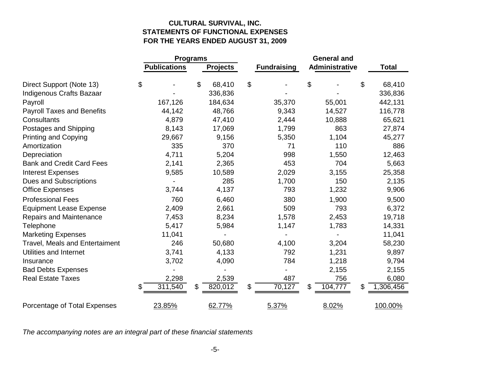### **CULTURAL SURVIVAL, INC. STATEMENTS OF FUNCTIONAL EXPENSESFOR THE YEARS ENDED AUGUST 31, 2009**

|                                       | <b>Programs</b>     |    |                 |                    |                |    |              |
|---------------------------------------|---------------------|----|-----------------|--------------------|----------------|----|--------------|
|                                       | <b>Publications</b> |    | <b>Projects</b> | <b>Fundraising</b> | Administrative |    | <b>Total</b> |
| Direct Support (Note 13)              | \$                  | \$ | 68,410          | \$                 | \$             | \$ |              |
|                                       |                     |    |                 |                    |                |    | 68,410       |
| <b>Indigenous Crafts Bazaar</b>       |                     |    | 336,836         |                    |                |    | 336,836      |
| Payroll                               | 167,126             |    | 184,634         | 35,370             | 55,001         |    | 442,131      |
| <b>Payroll Taxes and Benefits</b>     | 44,142              |    | 48,766          | 9,343              | 14,527         |    | 116,778      |
| Consultants                           | 4,879               |    | 47,410          | 2,444              | 10,888         |    | 65,621       |
| Postages and Shipping                 | 8,143               |    | 17,069          | 1,799              | 863            |    | 27,874       |
| <b>Printing and Copying</b>           | 29,667              |    | 9,156           | 5,350              | 1,104          |    | 45,277       |
| Amortization                          | 335                 |    | 370             | 71                 | 110            |    | 886          |
| Depreciation                          | 4,711               |    | 5,204           | 998                | 1,550          |    | 12,463       |
| <b>Bank and Credit Card Fees</b>      | 2,141               |    | 2,365           | 453                | 704            |    | 5,663        |
| <b>Interest Expenses</b>              | 9,585               |    | 10,589          | 2,029              | 3,155          |    | 25,358       |
| <b>Dues and Subscriptions</b>         |                     |    | 285             | 1,700              | 150            |    | 2,135        |
| <b>Office Expenses</b>                | 3,744               |    | 4,137           | 793                | 1,232          |    | 9,906        |
| <b>Professional Fees</b>              | 760                 |    | 6,460           | 380                | 1,900          |    | 9,500        |
| <b>Equipment Lease Expense</b>        | 2,409               |    | 2,661           | 509                | 793            |    | 6,372        |
| <b>Repairs and Maintenance</b>        | 7,453               |    | 8,234           | 1,578              | 2,453          |    | 19,718       |
| Telephone                             | 5,417               |    | 5,984           | 1,147              | 1,783          |    | 14,331       |
| <b>Marketing Expenses</b>             | 11,041              |    |                 |                    |                |    | 11,041       |
| <b>Travel, Meals and Entertaiment</b> | 246                 |    | 50,680          | 4,100              | 3,204          |    | 58,230       |
| Utilities and Internet                | 3,741               |    | 4,133           | 792                | 1,231          |    | 9,897        |
| Insurance                             | 3,702               |    | 4,090           | 784                | 1,218          |    | 9,794        |
| <b>Bad Debts Expenses</b>             |                     |    |                 |                    | 2,155          |    | 2,155        |
| <b>Real Estate Taxes</b>              | 2,298               |    | 2,539           | 487                | 756            |    | 6,080        |
|                                       | \$<br>311,540       | \$ | 820,012         | \$<br>70,127       | \$<br>104,777  | \$ | 1,306,456    |
| Porcentage of Total Expenses          | 23.85%              |    | 62.77%          | 5.37%              | 8.02%          |    | 100.00%      |

The accompanying notes are an integral part of these financial statements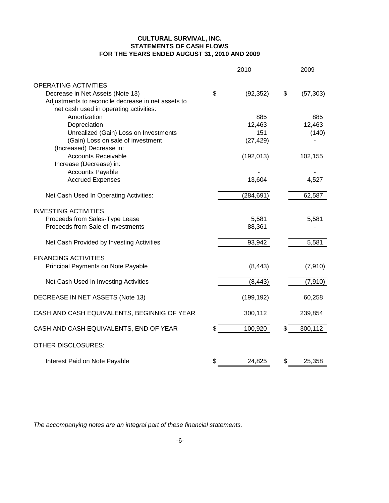### **CULTURAL SURVIVAL, INC. STATEMENTS OF CASH FLOWS FOR THE YEARS ENDED AUGUST 31, 2010 AND 2009**

|                                                    | 2010            | 2009            |
|----------------------------------------------------|-----------------|-----------------|
| <b>OPERATING ACTIVITIES</b>                        |                 |                 |
| Decrease in Net Assets (Note 13)                   | \$<br>(92, 352) | \$<br>(57, 303) |
| Adjustments to reconcile decrease in net assets to |                 |                 |
| net cash used in operating activities:             |                 |                 |
| Amortization                                       | 885             | 885             |
| Depreciation                                       | 12,463          | 12,463          |
| Unrealized (Gain) Loss on Investments              | 151             | (140)           |
| (Gain) Loss on sale of investment                  | (27, 429)       |                 |
| (Increased) Decrease in:                           |                 |                 |
| <b>Accounts Receivable</b>                         | (192, 013)      | 102,155         |
| Increase (Decrease) in:                            |                 |                 |
| <b>Accounts Payable</b>                            |                 |                 |
| <b>Accrued Expenses</b>                            | 13,604          | 4,527           |
| Net Cash Used In Operating Activities:             | (284, 691)      | 62,587          |
| <b>INVESTING ACTIVITIES</b>                        |                 |                 |
| Proceeds from Sales-Type Lease                     | 5,581           | 5,581           |
| Proceeds from Sale of Investments                  | 88,361          |                 |
| Net Cash Provided by Investing Activities          | 93,942          | 5,581           |
| <b>FINANCING ACTIVITIES</b>                        |                 |                 |
| Principal Payments on Note Payable                 | (8, 443)        | (7, 910)        |
| Net Cash Used in Investing Activities              | (8, 443)        | (7, 910)        |
| DECREASE IN NET ASSETS (Note 13)                   | (199, 192)      | 60,258          |
|                                                    |                 |                 |
| CASH AND CASH EQUIVALENTS, BEGINNIG OF YEAR        | 300,112         | 239,854         |
| CASH AND CASH EQUIVALENTS, END OF YEAR             | 100,920         | \$<br>300,112   |
| <b>OTHER DISCLOSURES:</b>                          |                 |                 |
| Interest Paid on Note Payable                      | \$<br>24,825    | \$<br>25,358    |

The accompanying notes are an integral part of these financial statements.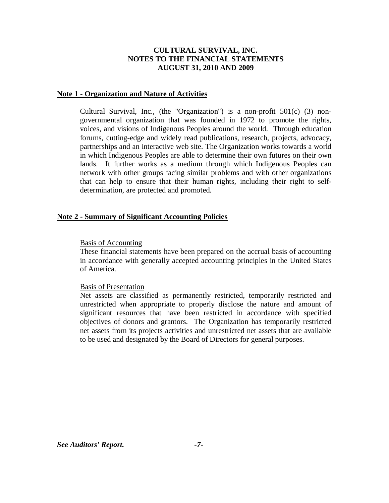#### **Note 1 - Organization and Nature of Activities**

Cultural Survival, Inc., (the "Organization") is a non-profit 501(c) (3) nongovernmental organization that was founded in 1972 to promote the rights, voices, and visions of Indigenous Peoples around the world. Through education forums, cutting-edge and widely read publications, research, projects, advocacy, partnerships and an interactive web site. The Organization works towards a world in which Indigenous Peoples are able to determine their own futures on their own lands. It further works as a medium through which Indigenous Peoples can network with other groups facing similar problems and with other organizations that can help to ensure that their human rights, including their right to selfdetermination, are protected and promoted.

### **Note 2 - Summary of Significant Accounting Policies**

#### Basis of Accounting

These financial statements have been prepared on the accrual basis of accounting in accordance with generally accepted accounting principles in the United States of America.

#### Basis of Presentation

Net assets are classified as permanently restricted, temporarily restricted and unrestricted when appropriate to properly disclose the nature and amount of significant resources that have been restricted in accordance with specified objectives of donors and grantors. The Organization has temporarily restricted net assets from its projects activities and unrestricted net assets that are available to be used and designated by the Board of Directors for general purposes.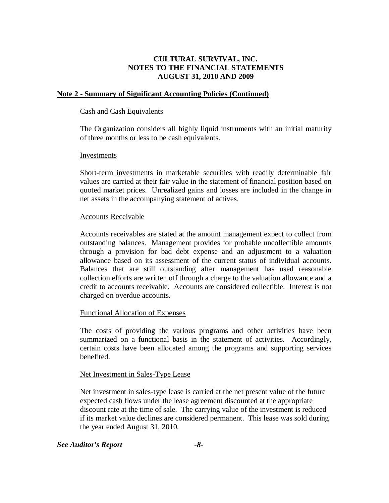### **Note 2 - Summary of Significant Accounting Policies (Continued)**

### Cash and Cash Equivalents

The Organization considers all highly liquid instruments with an initial maturity of three months or less to be cash equivalents.

### Investments

Short-term investments in marketable securities with readily determinable fair values are carried at their fair value in the statement of financial position based on quoted market prices. Unrealized gains and losses are included in the change in net assets in the accompanying statement of actives.

### Accounts Receivable

Accounts receivables are stated at the amount management expect to collect from outstanding balances. Management provides for probable uncollectible amounts through a provision for bad debt expense and an adjustment to a valuation allowance based on its assessment of the current status of individual accounts. Balances that are still outstanding after management has used reasonable collection efforts are written off through a charge to the valuation allowance and a credit to accounts receivable. Accounts are considered collectible. Interest is not charged on overdue accounts.

### Functional Allocation of Expenses

The costs of providing the various programs and other activities have been summarized on a functional basis in the statement of activities. Accordingly, certain costs have been allocated among the programs and supporting services benefited.

### Net Investment in Sales-Type Lease

Net investment in sales-type lease is carried at the net present value of the future expected cash flows under the lease agreement discounted at the appropriate discount rate at the time of sale. The carrying value of the investment is reduced if its market value declines are considered permanent. This lease was sold during the year ended August 31, 2010.

### *See Auditor's Report -8-*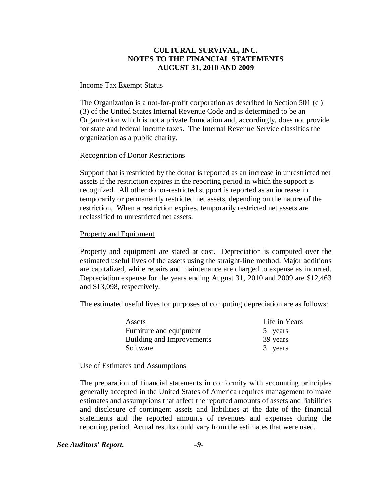#### Income Tax Exempt Status

The Organization is a not-for-profit corporation as described in Section 501 (c ) (3) of the United States Internal Revenue Code and is determined to be an Organization which is not a private foundation and, accordingly, does not provide for state and federal income taxes. The Internal Revenue Service classifies the organization as a public charity.

### Recognition of Donor Restrictions

Support that is restricted by the donor is reported as an increase in unrestricted net assets if the restriction expires in the reporting period in which the support is recognized. All other donor-restricted support is reported as an increase in temporarily or permanently restricted net assets, depending on the nature of the restriction. When a restriction expires, temporarily restricted net assets are reclassified to unrestricted net assets.

#### Property and Equipment

Property and equipment are stated at cost. Depreciation is computed over the estimated useful lives of the assets using the straight-line method. Major additions are capitalized, while repairs and maintenance are charged to expense as incurred. Depreciation expense for the years ending August 31, 2010 and 2009 are \$12,463 and \$13,098, respectively.

The estimated useful lives for purposes of computing depreciation are as follows:

| Assets                    | Life in Years |
|---------------------------|---------------|
| Furniture and equipment   | 5 years       |
| Building and Improvements | 39 years      |
| Software                  | 3 years       |

Use of Estimates and Assumptions

The preparation of financial statements in conformity with accounting principles generally accepted in the United States of America requires management to make estimates and assumptions that affect the reported amounts of assets and liabilities and disclosure of contingent assets and liabilities at the date of the financial statements and the reported amounts of revenues and expenses during the reporting period. Actual results could vary from the estimates that were used.

### *See Auditors' Report. -9-*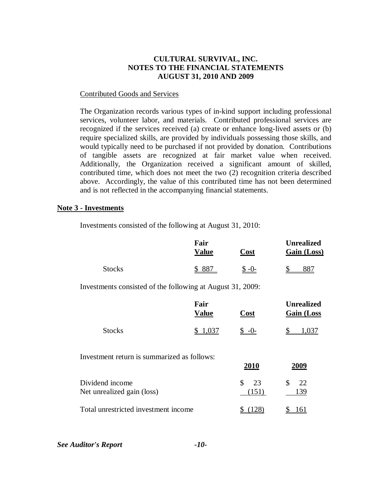### Contributed Goods and Services

The Organization records various types of in-kind support including professional services, volunteer labor, and materials. Contributed professional services are recognized if the services received (a) create or enhance long-lived assets or (b) require specialized skills, are provided by individuals possessing those skills, and would typically need to be purchased if not provided by donation. Contributions of tangible assets are recognized at fair market value when received. Additionally, the Organization received a significant amount of skilled, contributed time, which does not meet the two (2) recognition criteria described above. Accordingly, the value of this contributed time has not been determined and is not reflected in the accompanying financial statements.

#### **Note 3 - Investments**

Investments consisted of the following at August 31, 2010:

|                                                            | Fair<br><u>Value</u> | Cost              | <b>Unrealized</b><br>Gain (Loss) |
|------------------------------------------------------------|----------------------|-------------------|----------------------------------|
| <b>Stocks</b>                                              | 887<br>\$            | $$ -0-$           | 887                              |
| Investments consisted of the following at August 31, 2009: |                      |                   |                                  |
|                                                            | Fair<br><b>Value</b> | <u>Cost</u>       | Unrealized<br><b>Gain (Loss</b>  |
| <b>Stocks</b>                                              | 1,037<br>\$          | $S - 0$           | 1,037                            |
| Investment return is summarized as follows:                |                      | 2010              | 2009                             |
| Dividend income<br>Net unrealized gain (loss)              |                      | \$<br>23<br>(151) | \$<br>22<br>139                  |
| Total unrestricted investment income                       |                      | (128)             | <u> 161</u>                      |

*See Auditor's Report -10-*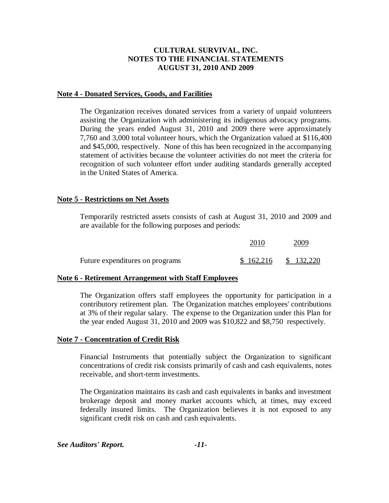### **Note 4 - Donated Services, Goods, and Facilities**

The Organization receives donated services from a variety of unpaid volunteers assisting the Organization with administering its indigenous advocacy programs. During the years ended August 31, 2010 and 2009 there were approximately 7,760 and 3,000 total volunteer hours, which the Organization valued at \$116,400 and \$45,000, respectively. None of this has been recognized in the accompanying statement of activities because the volunteer activities do not meet the criteria for recognition of such volunteer effort under auditing standards generally accepted in the United States of America.

### **Note 5 - Restrictions on Net Assets**

Temporarily restricted assets consists of cash at August 31, 2010 and 2009 and are available for the following purposes and periods:

|                                 | 2010 | 2009                  |
|---------------------------------|------|-----------------------|
| Future expenditures on programs |      | $$162,216$ $$132,220$ |

### **Note 6 - Retirement Arrangement with Staff Employees**

The Organization offers staff employees the opportunity for participation in a contributory retirement plan. The Organization matches employees' contributions at 3% of their regular salary. The expense to the Organization under this Plan for the year ended August 31, 2010 and 2009 was \$10,822 and \$8,750 respectively.

### **Note 7 - Concentration of Credit Risk**

Financial Instruments that potentially subject the Organization to significant concentrations of credit risk consists primarily of cash and cash equivalents, notes receivable, and short-term investments.

The Organization maintains its cash and cash equivalents in banks and investment brokerage deposit and money market accounts which, at times, may exceed federally insured limits. The Organization believes it is not exposed to any significant credit risk on cash and cash equivalents.

*See Auditors' Report. -11-*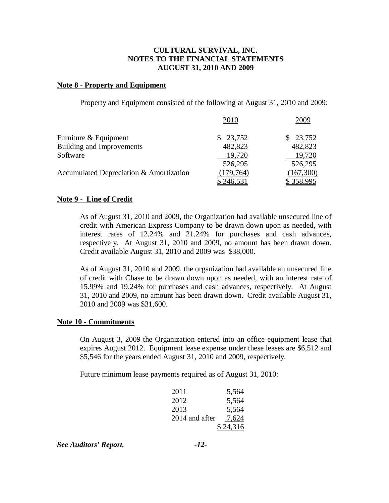### **Note 8 - Property and Equipment**

Property and Equipment consisted of the following at August 31, 2010 and 2009:

|                                         | 2010         | 2009      |
|-----------------------------------------|--------------|-----------|
| Furniture & Equipment                   | 23,752<br>S. | \$23,752  |
| <b>Building and Improvements</b>        | 482,823      | 482,823   |
| Software                                | 19,720       | 19,720    |
|                                         | 526,295      | 526,295   |
| Accumulated Depreciation & Amortization | (179, 764)   | (167,300) |
|                                         | \$346,531    | \$358,995 |

### **Note 9 - Line of Credit**

As of August 31, 2010 and 2009, the Organization had available unsecured line of credit with American Express Company to be drawn down upon as needed, with interest rates of 12.24% and 21.24% for purchases and cash advances, respectively. At August 31, 2010 and 2009, no amount has been drawn down. Credit available August 31, 2010 and 2009 was \$38,000.

As of August 31, 2010 and 2009, the organization had available an unsecured line of credit with Chase to be drawn down upon as needed, with an interest rate of 15.99% and 19.24% for purchases and cash advances, respectively. At August 31, 2010 and 2009, no amount has been drawn down. Credit available August 31, 2010 and 2009 was \$31,600.

### **Note 10 - Commitments**

On August 3, 2009 the Organization entered into an office equipment lease that expires August 2012. Equipment lease expense under these leases are \$6,512 and \$5,546 for the years ended August 31, 2010 and 2009, respectively.

Future minimum lease payments required as of August 31, 2010:

| 2011 | 5,564                   |
|------|-------------------------|
| 2012 | 5,564                   |
| 2013 | 5,564                   |
|      | 2014 and after<br>7,624 |
|      | \$24,316                |

*See Auditors' Report. -12-*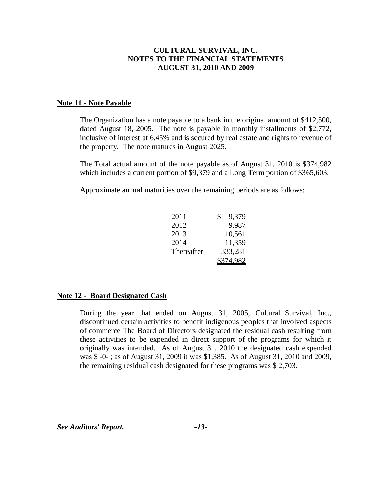#### **Note 11 - Note Payable**

The Organization has a note payable to a bank in the original amount of \$412,500, dated August 18, 2005. The note is payable in monthly installments of \$2,772, inclusive of interest at 6.45% and is secured by real estate and rights to revenue of the property. The note matures in August 2025.

The Total actual amount of the note payable as of August 31, 2010 is \$374,982 which includes a current portion of \$9,379 and a Long Term portion of \$365,603.

Approximate annual maturities over the remaining periods are as follows:

| 2011 |            | 9,379   |
|------|------------|---------|
| 2012 |            | 9,987   |
| 2013 |            | 10,561  |
| 2014 |            | 11,359  |
|      | Thereafter | 333,281 |
|      |            | 74.982  |

### **Note 12 - Board Designated Cash**

During the year that ended on August 31, 2005, Cultural Survival, Inc., discontinued certain activities to benefit indigenous peoples that involved aspects of commerce The Board of Directors designated the residual cash resulting from these activities to be expended in direct support of the programs for which it originally was intended. As of August 31, 2010 the designated cash expended was \$ -0- ; as of August 31, 2009 it was \$1,385. As of August 31, 2010 and 2009, the remaining residual cash designated for these programs was \$ 2,703.